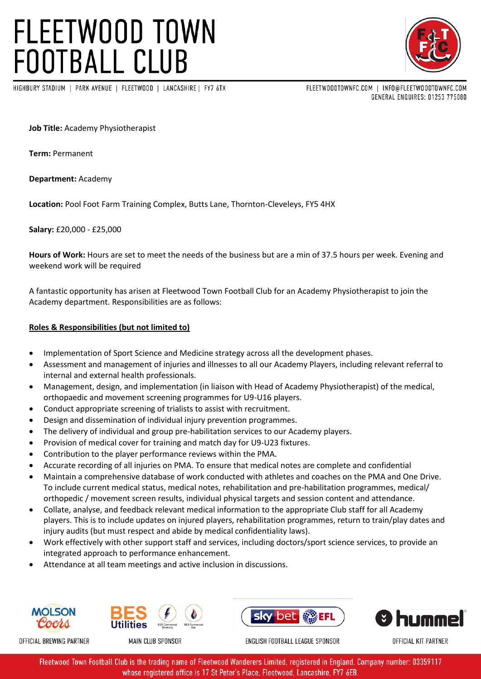## **FLEETWOOD TOWN FOOTBALL CLUB**

HIGHBURY STADIUM | PARK AVENUE | FLEETWOOD | LANCASHIRE | FY7 6TX

FLEETWOODTOWNFC.COM | INFO@FLEETWOODTOWNFC.COM

GENERAL ENQUIRES: 01253 775080

**Job Title:** Academy Physiotherapist

**Term:** Permanent

**Department:** Academy

**Location:** Pool Foot Farm Training Complex, Butts Lane, Thornton-Cleveleys, FY5 4HX

**Salary:** £20,000 - £25,000

**Hours of Work:** Hours are set to meet the needs of the business but are a min of 37.5 hours per week. Evening and weekend work will be required

A fantastic opportunity has arisen at Fleetwood Town Football Club for an Academy Physiotherapist to join the Academy department. Responsibilities are as follows:

### **Roles & Responsibilities (but not limited to)**

- Implementation of Sport Science and Medicine strategy across all the development phases.
- Assessment and management of injuries and illnesses to all our Academy Players, including relevant referral to internal and external health professionals.
- Management, design, and implementation (in liaison with Head of Academy Physiotherapist) of the medical, orthopaedic and movement screening programmes for U9-U16 players.
- Conduct appropriate screening of trialists to assist with recruitment.
- Design and dissemination of individual injury prevention programmes.
- The delivery of individual and group pre-habilitation services to our Academy players.
- Provision of medical cover for training and match day for U9-U23 fixtures.
- Contribution to the player performance reviews within the PMA.
- Accurate recording of all injuries on PMA. To ensure that medical notes are complete and confidential
- Maintain a comprehensive database of work conducted with athletes and coaches on the PMA and One Drive. To include current medical status, medical notes, rehabilitation and pre-habilitation programmes, medical/ orthopedic / movement screen results, individual physical targets and session content and attendance.
- Collate, analyse, and feedback relevant medical information to the appropriate Club staff for all Academy players. This is to include updates on injured players, rehabilitation programmes, return to train/play dates and injury audits (but must respect and abide by medical confidentiality laws).
- Work effectively with other support staff and services, including doctors/sport science services, to provide an integrated approach to performance enhancement.
- Attendance at all team meetings and active inclusion in discussions.









OFFICIAL KIT PARTNER

OFFICIAL BREWING PARTNER

MAIN CLUB SPONSOR

ENGLISH FOOTBALL LEAGUE SPONSOR

Fleetwood Town Football Club is the trading name of Fleetwood Wanderers Limited, registered in England. Company number: 03359117 whose registered office is 17 St Peter's Place, Fleetwood, Lancashire, FY7 6EB.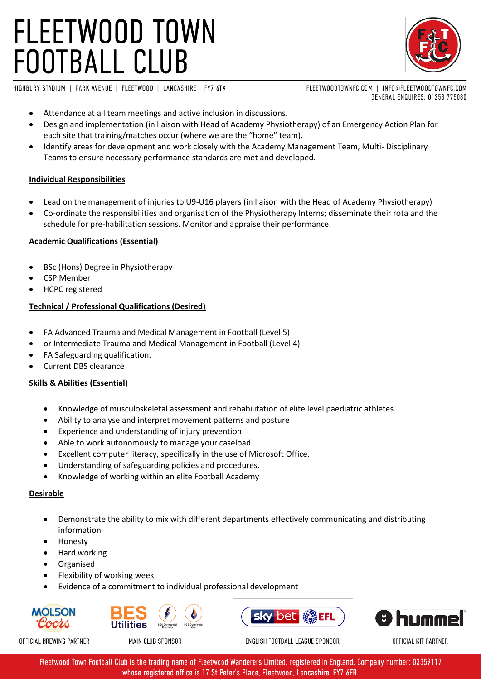# **FLEETWOOD TOWN FOOTBALL CLUB**



HIGHBURY STADIUM | PARK AVENUE | FLEETWOOD | LANCASHIRE | FY7 6TX

FLEETWOODTOWNFC.COM | INFO@FLEETWOODTOWNFC.COM GENERAL ENQUIRES: 01253 775080

- Attendance at all team meetings and active inclusion in discussions.
- Design and implementation (in liaison with Head of Academy Physiotherapy) of an Emergency Action Plan for each site that training/matches occur (where we are the "home" team).
- Identify areas for development and work closely with the Academy Management Team, Multi- Disciplinary Teams to ensure necessary performance standards are met and developed.

### **Individual Responsibilities**

- Lead on the management of injuries to U9-U16 players (in liaison with the Head of Academy Physiotherapy)
- Co-ordinate the responsibilities and organisation of the Physiotherapy Interns; disseminate their rota and the schedule for pre-habilitation sessions. Monitor and appraise their performance.

## **Academic Qualifications (Essential)**

- BSc (Hons) Degree in Physiotherapy
- CSP Member
- HCPC registered

## **Technical / Professional Qualifications (Desired)**

- FA Advanced Trauma and Medical Management in Football (Level 5)
- or Intermediate Trauma and Medical Management in Football (Level 4)
- FA Safeguarding qualification.
- Current DBS clearance

### **Skills & Abilities (Essential)**

- Knowledge of musculoskeletal assessment and rehabilitation of elite level paediatric athletes
- Ability to analyse and interpret movement patterns and posture
- Experience and understanding of injury prevention
- Able to work autonomously to manage your caseload
- Excellent computer literacy, specifically in the use of Microsoft Office.
- Understanding of safeguarding policies and procedures.
- Knowledge of working within an elite Football Academy

### **Desirable**

- Demonstrate the ability to mix with different departments effectively communicating and distributing information
- Honesty
- Hard working
- Organised
- Flexibility of working week
- Evidence of a commitment to individual professional development









OFFICIAL KIT PARTNER

OFFICIAL BREWING PARTNER

MAIN CLUB SPONSOR

ENGLISH FOOTBALL LEAGUE SPONSOR

Fleetwood Town Football Club is the trading name of Fleetwood Wanderers Limited, registered in England. Company number: 03359117 whose registered office is 17 St Peter's Place, Fleetwood, Lancashire, FY7 6EB